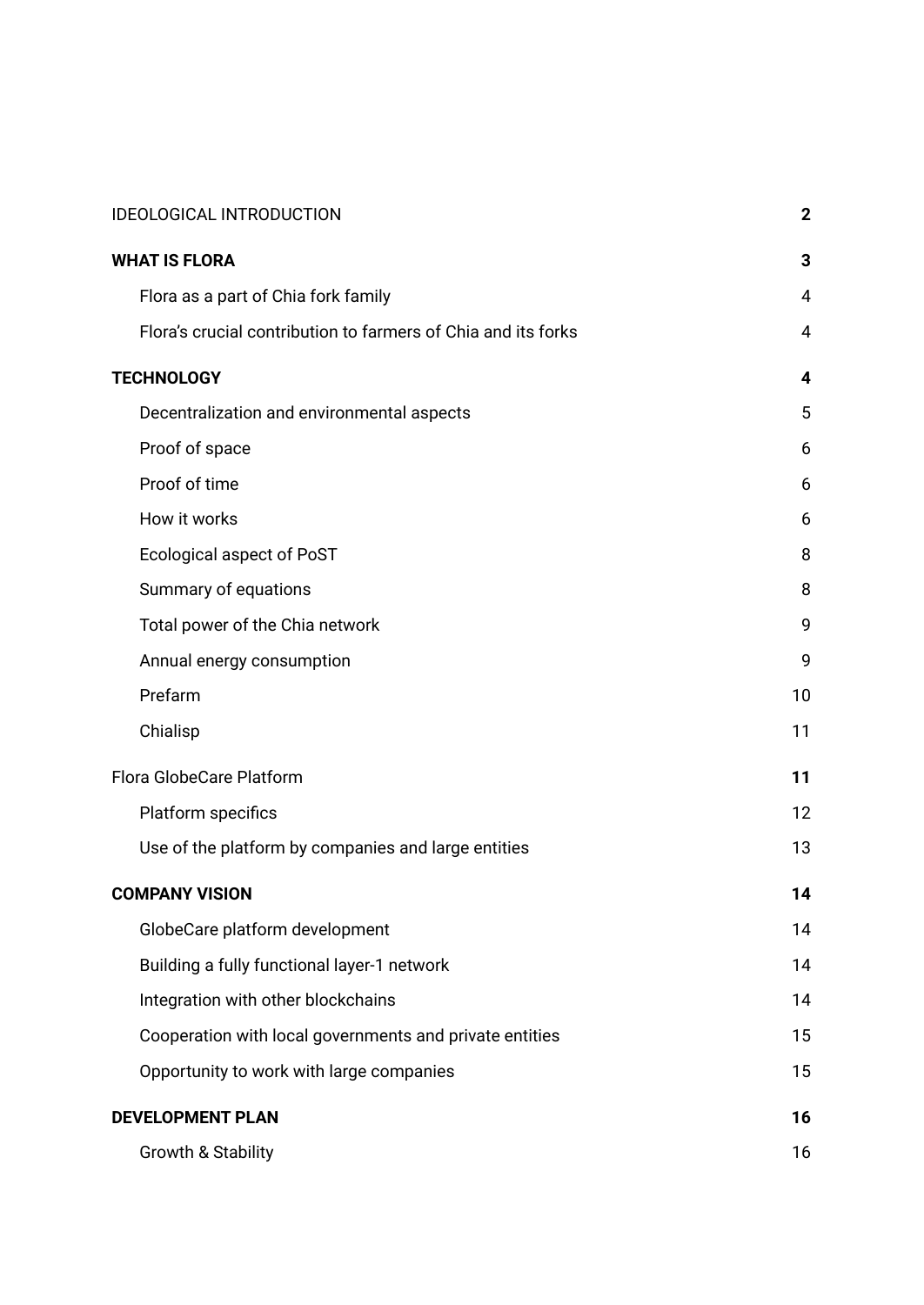| <b>IDEOLOGICAL INTRODUCTION</b>                               | $\mathbf 2$    |
|---------------------------------------------------------------|----------------|
| <b>WHAT IS FLORA</b>                                          | 3              |
| Flora as a part of Chia fork family                           | $\overline{4}$ |
| Flora's crucial contribution to farmers of Chia and its forks | 4              |
| <b>TECHNOLOGY</b>                                             | 4              |
| Decentralization and environmental aspects                    | 5              |
| Proof of space                                                | 6              |
| Proof of time                                                 | 6              |
| How it works                                                  | 6              |
| <b>Ecological aspect of PoST</b>                              | 8              |
| Summary of equations                                          | 8              |
| Total power of the Chia network                               | 9              |
| Annual energy consumption                                     | 9              |
| Prefarm                                                       | 10             |
| Chialisp                                                      | 11             |
| Flora GlobeCare Platform                                      | 11             |
| Platform specifics                                            | 12             |
| Use of the platform by companies and large entities           | 13             |
| <b>COMPANY VISION</b>                                         | 14             |
| GlobeCare platform development                                | 14             |
| Building a fully functional layer-1 network                   | 14             |
| Integration with other blockchains                            | 14             |
| Cooperation with local governments and private entities       | 15             |
| Opportunity to work with large companies                      | 15             |
| <b>DEVELOPMENT PLAN</b>                                       | 16             |
| <b>Growth &amp; Stability</b>                                 | 16             |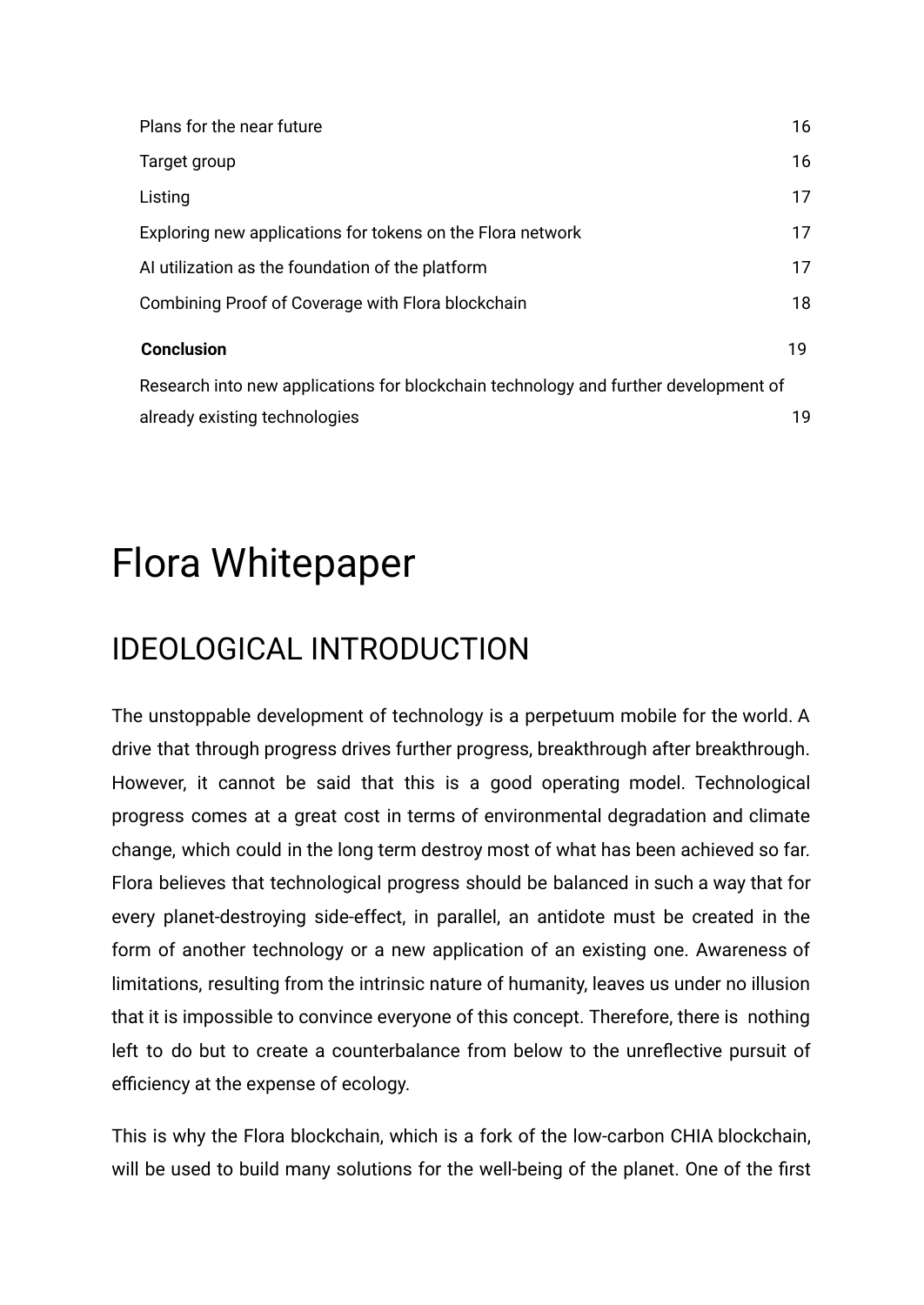| Plans for the near future                                                           | 16 |
|-------------------------------------------------------------------------------------|----|
| Target group                                                                        | 16 |
| Listing                                                                             | 17 |
| Exploring new applications for tokens on the Flora network                          | 17 |
| Al utilization as the foundation of the platform                                    | 17 |
| Combining Proof of Coverage with Flora blockchain                                   | 18 |
| <b>Conclusion</b>                                                                   | 19 |
| Research into new applications for blockchain technology and further development of |    |
| already existing technologies                                                       | 19 |

# Flora Whitepaper

## <span id="page-1-0"></span>IDEOLOGICAL INTRODUCTION

The unstoppable development of technology is a perpetuum mobile for the world. A drive that through progress drives further progress, breakthrough after breakthrough. However, it cannot be said that this is a good operating model. Technological progress comes at a great cost in terms of environmental degradation and climate change, which could in the long term destroy most of what has been achieved so far. Flora believes that technological progress should be balanced in such a way that for every planet-destroying side-effect, in parallel, an antidote must be created in the form of another technology or a new application of an existing one. Awareness of limitations, resulting from the intrinsic nature of humanity, leaves us under no illusion that it is impossible to convince everyone of this concept. Therefore, there is nothing left to do but to create a counterbalance from below to the unreflective pursuit of efficiency at the expense of ecology.

This is why the Flora blockchain, which is a fork of the low-carbon CHIA blockchain, will be used to build many solutions for the well-being of the planet. One of the first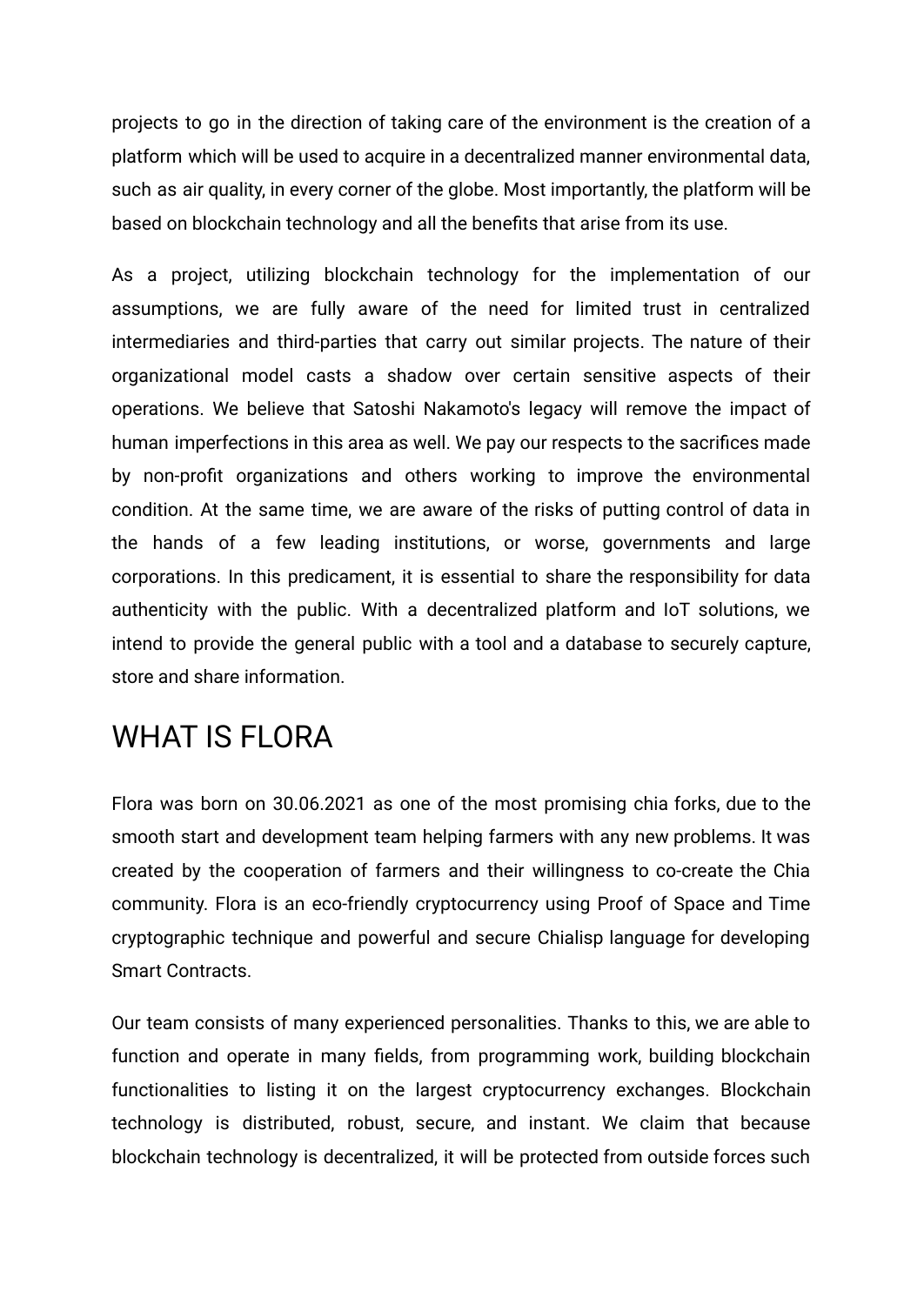projects to go in the direction of taking care of the environment is the creation of a platform which will be used to acquire in a decentralized manner environmental data, such as air quality, in every corner of the globe. Most importantly, the platform will be based on blockchain technology and all the benefits that arise from its use.

As a project, utilizing blockchain technology for the implementation of our assumptions, we are fully aware of the need for limited trust in centralized intermediaries and third-parties that carry out similar projects. The nature of their organizational model casts a shadow over certain sensitive aspects of their operations. We believe that Satoshi Nakamoto's legacy will remove the impact of human imperfections in this area as well. We pay our respects to the sacrifices made by non-profit organizations and others working to improve the environmental condition. At the same time, we are aware of the risks of putting control of data in the hands of a few leading institutions, or worse, governments and large corporations. In this predicament, it is essential to share the responsibility for data authenticity with the public. With a decentralized platform and IoT solutions, we intend to provide the general public with a tool and a database to securely capture, store and share information.

## <span id="page-2-0"></span>WHAT IS FLORA

Flora was born on 30.06.2021 as one of the most promising chia forks, due to the smooth start and development team helping farmers with any new problems. It was created by the cooperation of farmers and their willingness to co-create the Chia community. Flora is an eco-friendly cryptocurrency using Proof of Space and Time cryptographic technique and powerful and secure Chialisp language for developing Smart Contracts.

Our team consists of many experienced personalities. Thanks to this, we are able to function and operate in many fields, from programming work, building blockchain functionalities to listing it on the largest cryptocurrency exchanges. Blockchain technology is distributed, robust, secure, and instant. We claim that because blockchain technology is decentralized, it will be protected from outside forces such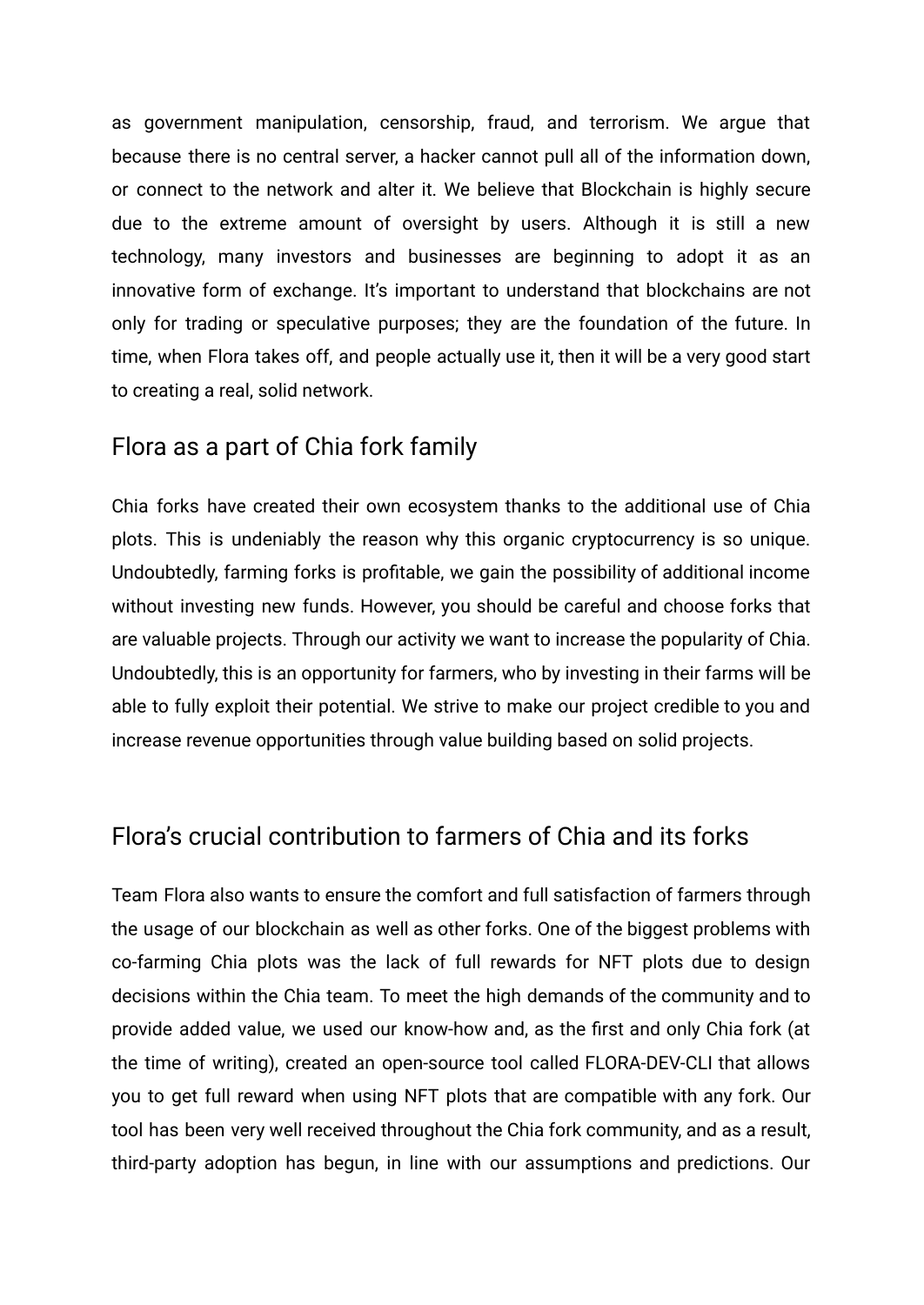as government manipulation, censorship, fraud, and terrorism. We argue that because there is no central server, a hacker cannot pull all of the information down, or connect to the network and alter it. We believe that Blockchain is highly secure due to the extreme amount of oversight by users. Although it is still a new technology, many investors and businesses are beginning to adopt it as an innovative form of exchange. It's important to understand that blockchains are not only for trading or speculative purposes; they are the foundation of the future. In time, when Flora takes off, and people actually use it, then it will be a very good start to creating a real, solid network.

#### <span id="page-3-0"></span>Flora as a part of Chia fork family

Chia forks have created their own ecosystem thanks to the additional use of Chia plots. This is undeniably the reason why this organic cryptocurrency is so unique. Undoubtedly, farming forks is profitable, we gain the possibility of additional income without investing new funds. However, you should be careful and choose forks that are valuable projects. Through our activity we want to increase the popularity of Chia. Undoubtedly, this is an opportunity for farmers, who by investing in their farms will be able to fully exploit their potential. We strive to make our project credible to you and increase revenue opportunities through value building based on solid projects.

### <span id="page-3-1"></span>Flora's crucial contribution to farmers of Chia and its forks

Team Flora also wants to ensure the comfort and full satisfaction of farmers through the usage of our blockchain as well as other forks. One of the biggest problems with co-farming Chia plots was the lack of full rewards for NFT plots due to design decisions within the Chia team. To meet the high demands of the community and to provide added value, we used our know-how and, as the first and only Chia fork (at the time of writing), created an open-source tool called FLORA-DEV-CLI that allows you to get full reward when using NFT plots that are compatible with any fork. Our tool has been very well received throughout the Chia fork community, and as a result, third-party adoption has begun, in line with our assumptions and predictions. Our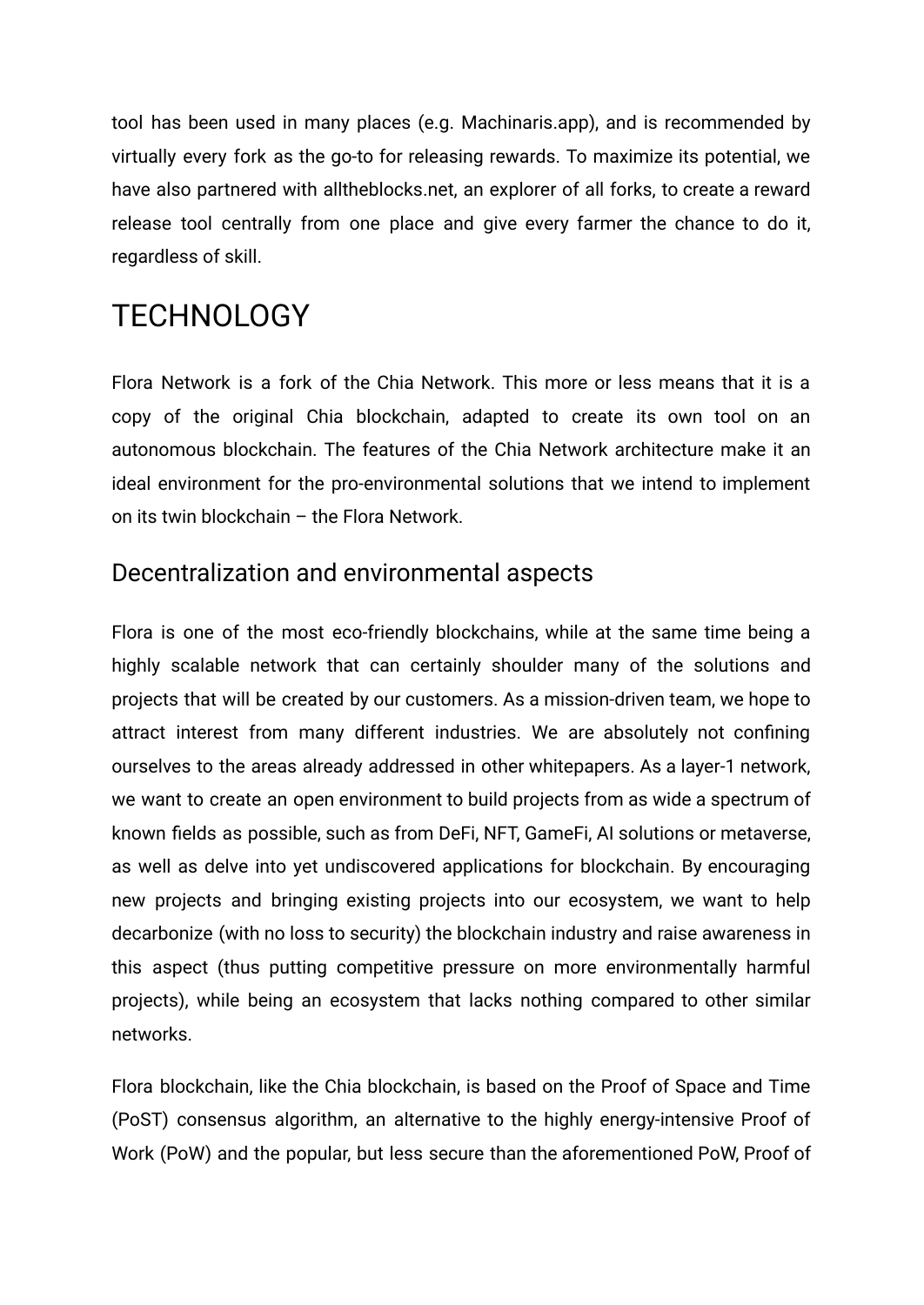tool has been used in many places (e.g. Machinaris.app), and is recommended by virtually every fork as the go-to for releasing rewards. To maximize its potential, we have also partnered with alltheblocks.net, an explorer of all forks, to create a reward release tool centrally from one place and give every farmer the chance to do it, regardless of skill.

## <span id="page-4-0"></span>TECHNOLOGY

Flora Network is a fork of the Chia Network. This more or less means that it is a copy of the original Chia blockchain, adapted to create its own tool on an autonomous blockchain. The features of the Chia Network architecture make it an ideal environment for the pro-environmental solutions that we intend to implement on its twin blockchain – the Flora Network.

## <span id="page-4-1"></span>Decentralization and environmental aspects

Flora is one of the most eco-friendly blockchains, while at the same time being a highly scalable network that can certainly shoulder many of the solutions and projects that will be created by our customers. As a mission-driven team, we hope to attract interest from many different industries. We are absolutely not confining ourselves to the areas already addressed in other whitepapers. As a layer-1 network, we want to create an open environment to build projects from as wide a spectrum of known fields as possible, such as from DeFi, NFT, GameFi, AI solutions or metaverse, as well as delve into yet undiscovered applications for blockchain. By encouraging new projects and bringing existing projects into our ecosystem, we want to help decarbonize (with no loss to security) the blockchain industry and raise awareness in this aspect (thus putting competitive pressure on more environmentally harmful projects), while being an ecosystem that lacks nothing compared to other similar networks.

Flora blockchain, like the Chia blockchain, is based on the Proof of Space and Time (PoST) consensus algorithm, an alternative to the highly energy-intensive Proof of Work (PoW) and the popular, but less secure than the aforementioned PoW, Proof of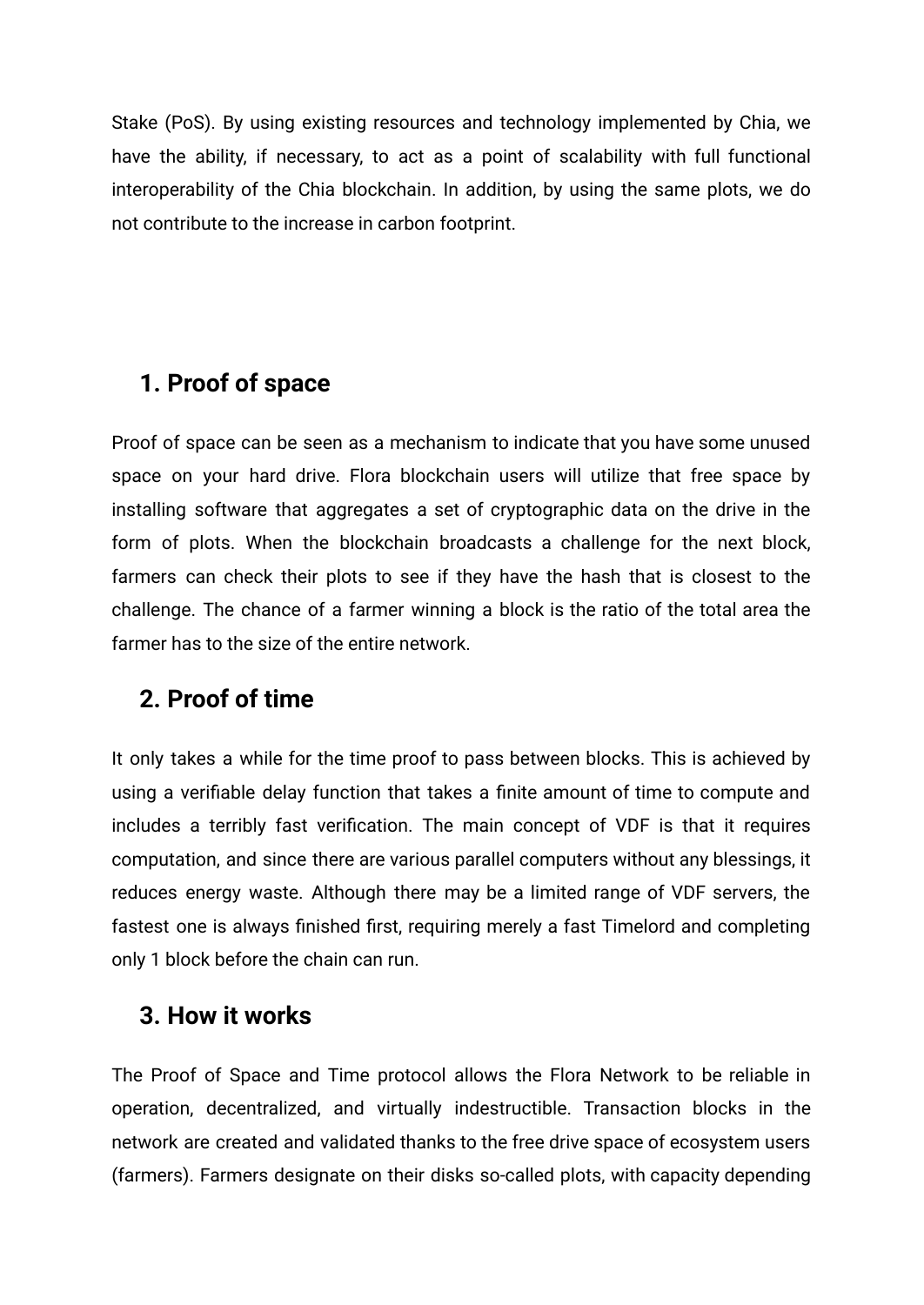Stake (PoS). By using existing resources and technology implemented by Chia, we have the ability, if necessary, to act as a point of scalability with full functional interoperability of the Chia blockchain. In addition, by using the same plots, we do not contribute to the increase in carbon footprint.

## <span id="page-5-0"></span>**1. Proof of space**

Proof of space can be seen as a mechanism to indicate that you have some unused space on your hard drive. Flora blockchain users will utilize that free space by installing software that aggregates a set of cryptographic data on the drive in the form of plots. When the blockchain broadcasts a challenge for the next block, farmers can check their plots to see if they have the hash that is closest to the challenge. The chance of a farmer winning a block is the ratio of the total area the farmer has to the size of the entire network.

## <span id="page-5-1"></span>**2. Proof of time**

It only takes a while for the time proof to pass between blocks. This is achieved by using a verifiable delay function that takes a finite amount of time to compute and includes a terribly fast verification. The main concept of VDF is that it requires computation, and since there are various parallel computers without any blessings, it reduces energy waste. Although there may be a limited range of VDF servers, the fastest one is always finished first, requiring merely a fast Timelord and completing only 1 block before the chain can run.

### <span id="page-5-2"></span>**3. How it works**

The Proof of Space and Time protocol allows the Flora Network to be reliable in operation, decentralized, and virtually indestructible. Transaction blocks in the network are created and validated thanks to the free drive space of ecosystem users (farmers). Farmers designate on their disks so-called plots, with capacity depending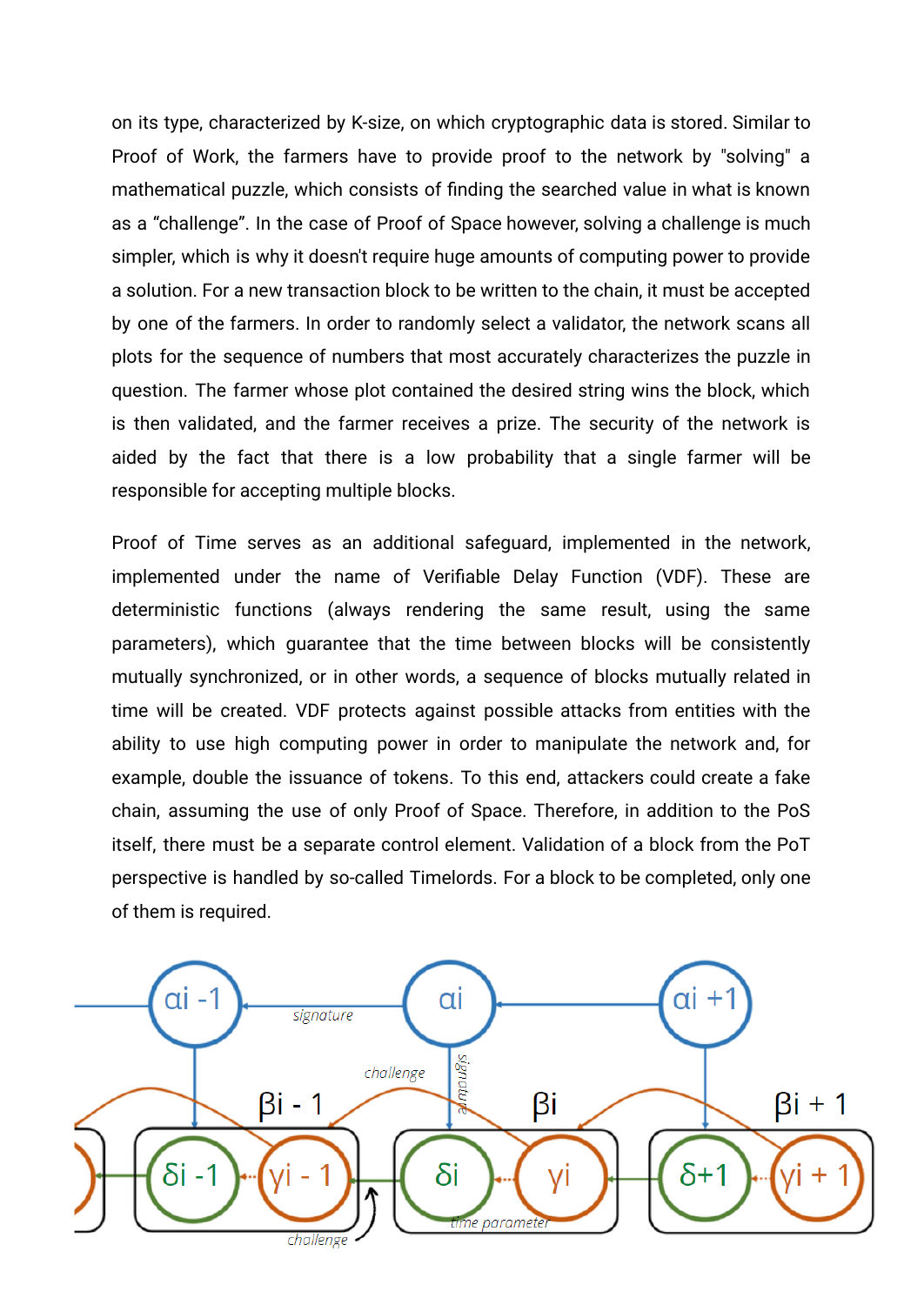on its type, characterized by K-size, on which cryptographic data is stored. Similar to Proof of Work, the farmers have to provide proof to the network by "solving" a mathematical puzzle, which consists of finding the searched value in what is known as a "challenge". In the case of Proof of Space however, solving a challenge is much simpler, which is why it doesn't require huge amounts of computing power to provide a solution. For a new transaction block to be written to the chain, it must be accepted by one of the farmers. In order to randomly select a validator, the network scans all plots for the sequence of numbers that most accurately characterizes the puzzle in question. The farmer whose plot contained the desired string wins the block, which is then validated, and the farmer receives a prize. The security of the network is aided by the fact that there is a low probability that a single farmer will be responsible for accepting multiple blocks.

Proof of Time serves as an additional safeguard, implemented in the network, implemented under the name of Verifiable Delay Function (VDF). These are deterministic functions (always rendering the same result, using the same parameters), which guarantee that the time between blocks will be consistently mutually synchronized, or in other words, a sequence of blocks mutually related in time will be created. VDF protects against possible attacks from entities with the ability to use high computing power in order to manipulate the network and, for example, double the issuance of tokens. To this end, attackers could create a fake chain, assuming the use of only Proof of Space. Therefore, in addition to the PoS itself, there must be a separate control element. Validation of a block from the PoT perspective is handled by so-called Timelords. For a block to be completed, only one of them is required.

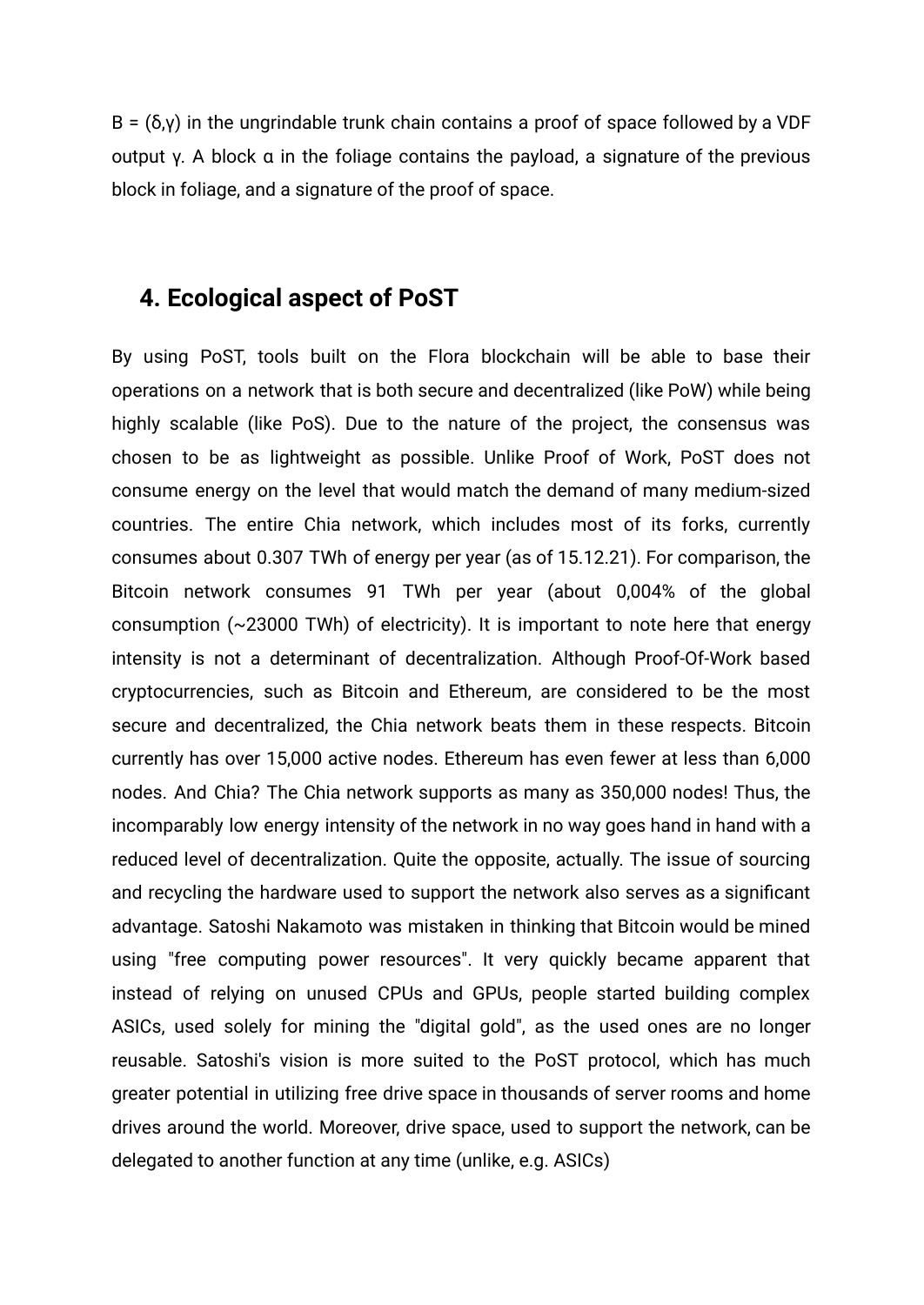B =  $(δ,γ)$  in the ungrindable trunk chain contains a proof of space followed by a VDF output γ. A block α in the foliage contains the payload, a signature of the previous block in foliage, and a signature of the proof of space.

#### <span id="page-7-0"></span>**4. Ecological aspect of PoST**

By using PoST, tools built on the Flora blockchain will be able to base their operations on a network that is both secure and decentralized (like PoW) while being highly scalable (like PoS). Due to the nature of the project, the consensus was chosen to be as lightweight as possible. Unlike Proof of Work, PoST does not consume energy on the level that would match the demand of many medium-sized countries. The entire Chia network, which includes most of its forks, currently consumes about 0.307 TWh of energy per year (as of 15.12.21). For comparison, the Bitcoin network consumes 91 TWh per year (about 0,004% of the global consumption (~23000 TWh) of electricity). It is important to note here that energy intensity is not a determinant of decentralization. Although Proof-Of-Work based cryptocurrencies, such as Bitcoin and Ethereum, are considered to be the most secure and decentralized, the Chia network beats them in these respects. Bitcoin currently has over 15,000 active nodes. Ethereum has even fewer at less than 6,000 nodes. And Chia? The Chia network supports as many as 350,000 nodes! Thus, the incomparably low energy intensity of the network in no way goes hand in hand with a reduced level of decentralization. Quite the opposite, actually. The issue of sourcing and recycling the hardware used to support the network also serves as a significant advantage. Satoshi Nakamoto was mistaken in thinking that Bitcoin would be mined using "free computing power resources". It very quickly became apparent that instead of relying on unused CPUs and GPUs, people started building complex ASICs, used solely for mining the "digital gold", as the used ones are no longer reusable. Satoshi's vision is more suited to the PoST protocol, which has much greater potential in utilizing free drive space in thousands of server rooms and home drives around the world. Moreover, drive space, used to support the network, can be delegated to another function at any time (unlike, e.g. ASICs)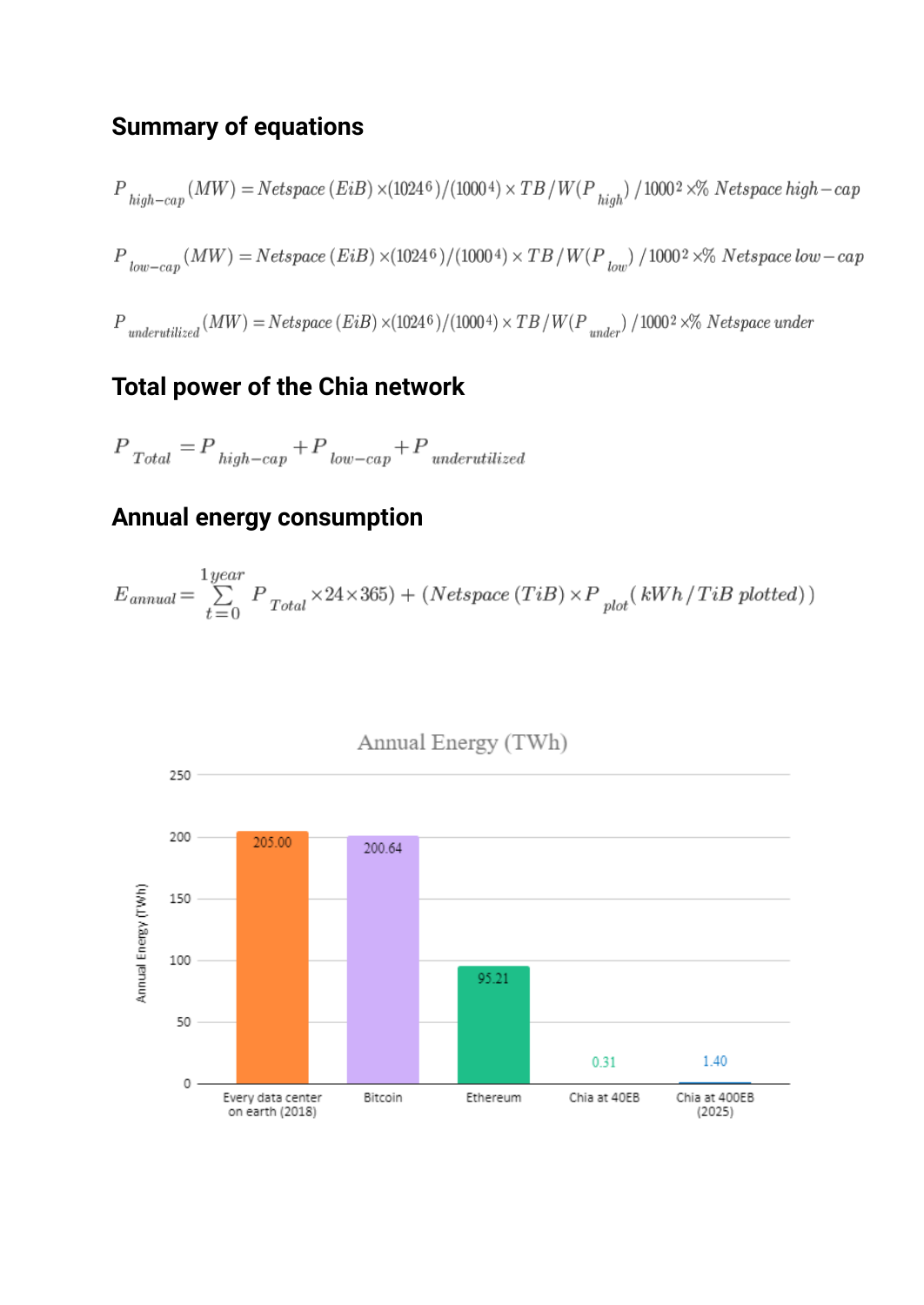## <span id="page-8-0"></span>**Summary of equations**

$$
P_{\text{high-cap}}(MW) = Netspace\,(EiB)\times(1024^{\,6})/(1000^{\,4})\times TB\,/\,W(P_{\text{high}})\,/\,1000^{\,2}\times\%\,\,Netspace\,high-cap
$$
 
$$
P_{\text{low-cap}}(MW) = Netspace\,(EiB)\times(1024^{\,6})/(1000^{\,4})\times TB\,/\,W(P_{\text{low}})\,/\,1000^{\,2}\times\%\,\,Netspace\,low-cap
$$
 
$$
P_{\text{underutilized}}(MW) = Netspace\,(EiB)\times(1024^{\,6})/(1000^{\,4})\times TB\,/\,W(P_{\text{under}})\,/\,1000^{\,2}\times\%\,\,Netspace\,under\,label{eq:poly}
$$

## <span id="page-8-1"></span>**Total power of the Chia network**

$$
P_{\quadTotal} = P_{\stackrel{high-cap}{}} + P_{\stackrel{low-cap}{}} + P_{\stackrel{underutilized}{}}
$$

## <span id="page-8-2"></span>**Annual energy consumption**

$$
E_{annual} = \sum\limits_{t=0}^{1 \: year} P_{Total} \times 24 \times 365) + (Netspace (TiB) \times P_{plot} (kWh / TiB plotted))
$$

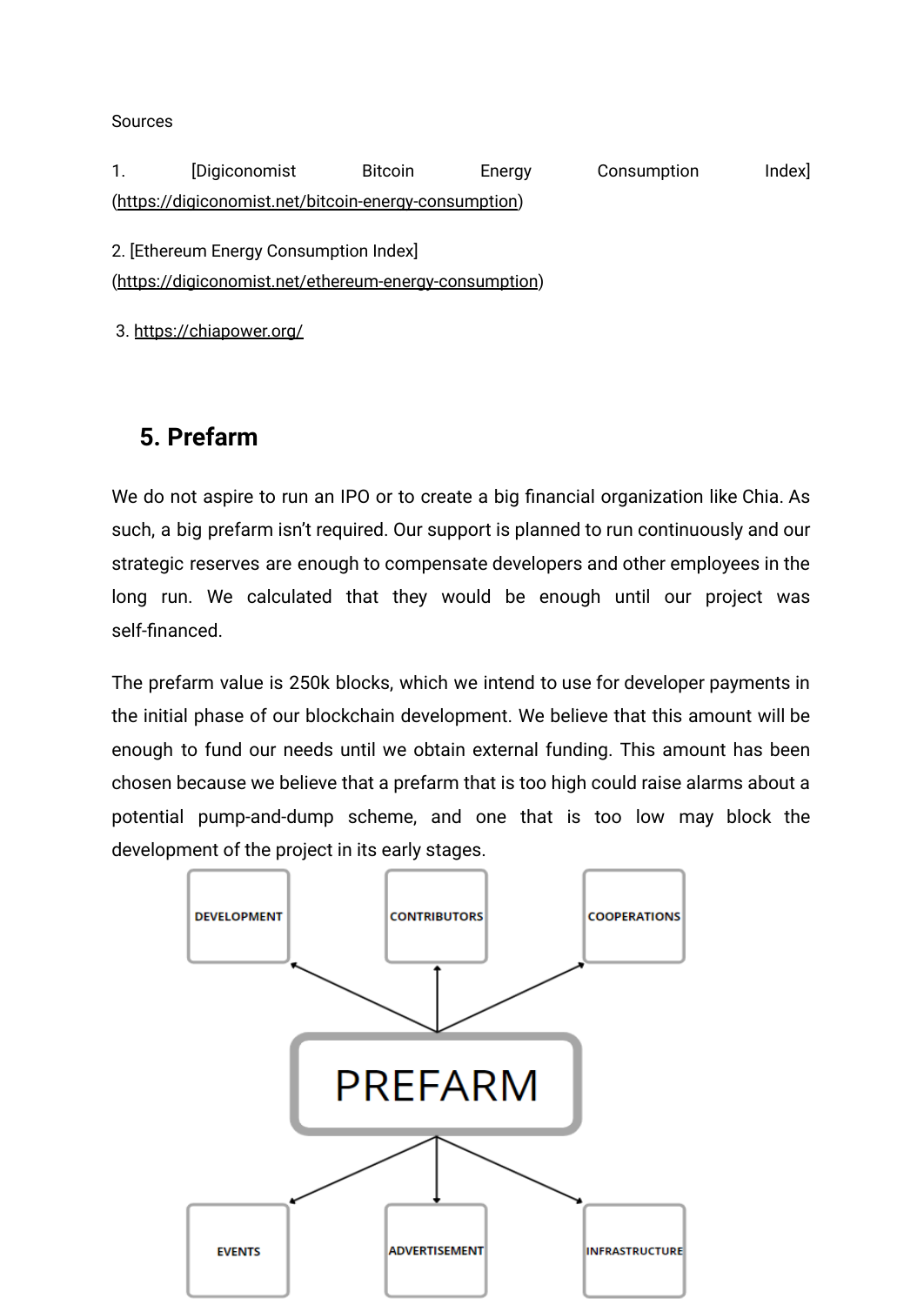Sources

1. [Digiconomist Bitcoin Energy Consumption Index] (<https://digiconomist.net/bitcoin-energy-consumption>)

2. [Ethereum Energy Consumption Index]

(<https://digiconomist.net/ethereum-energy-consumption>)

3. <https://chiapower.org/>

## <span id="page-9-0"></span>**5. Prefarm**

We do not aspire to run an IPO or to create a big financial organization like Chia. As such, a big prefarm isn't required. Our support is planned to run continuously and our strategic reserves are enough to compensate developers and other employees in the long run. We calculated that they would be enough until our project was self-financed.

The prefarm value is 250k blocks, which we intend to use for developer payments in the initial phase of our blockchain development. We believe that this amount will be enough to fund our needs until we obtain external funding. This amount has been chosen because we believe that a prefarm that is too high could raise alarms about a potential pump-and-dump scheme, and one that is too low may block the development of the project in its early stages.

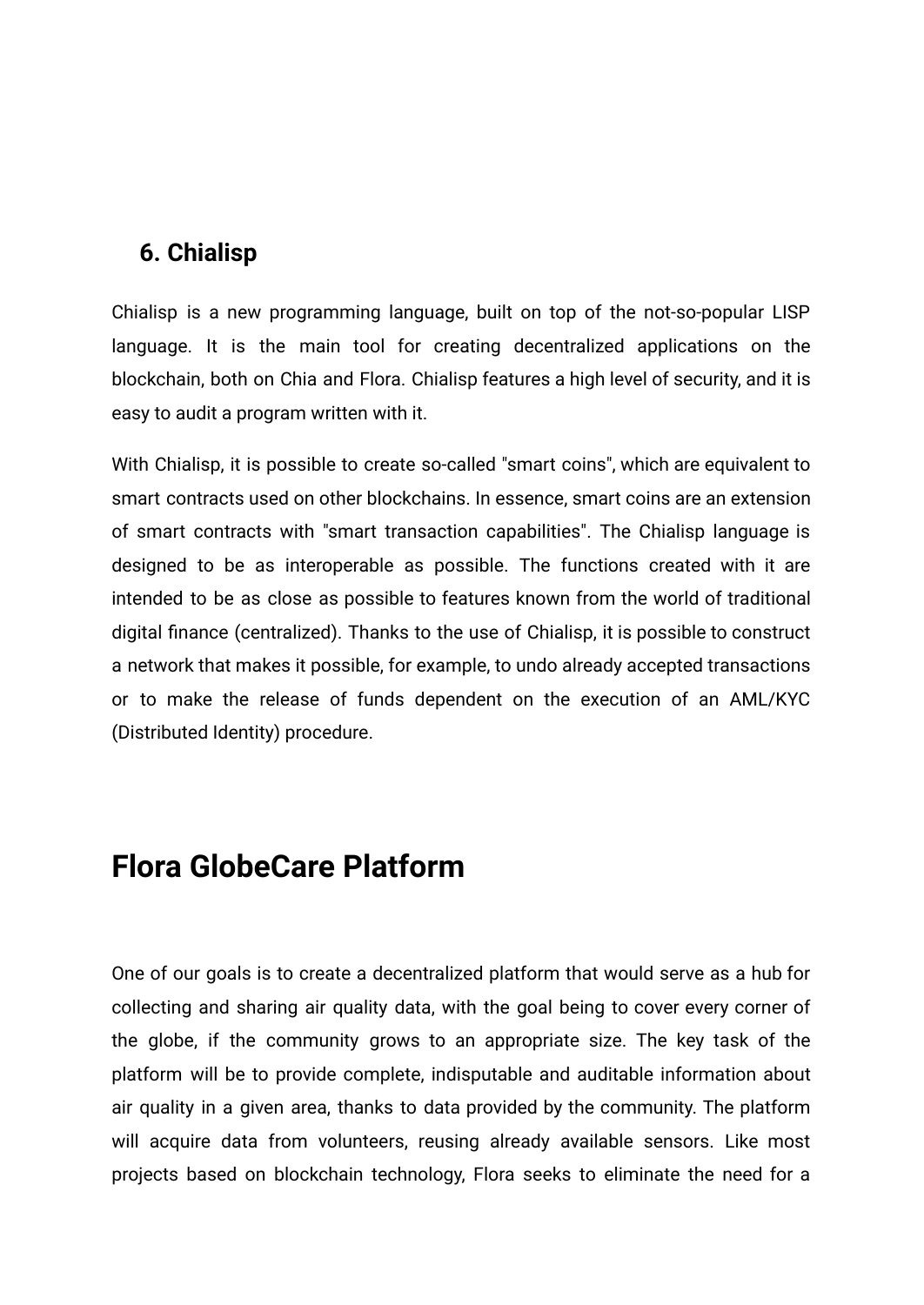### <span id="page-10-0"></span>**6. Chialisp**

Chialisp is a new programming language, built on top of the not-so-popular LISP language. It is the main tool for creating decentralized applications on the blockchain, both on Chia and Flora. Chialisp features a high level of security, and it is easy to audit a program written with it.

With Chialisp, it is possible to create so-called "smart coins", which are equivalent to smart contracts used on other blockchains. In essence, smart coins are an extension of smart contracts with "smart transaction capabilities". The Chialisp language is designed to be as interoperable as possible. The functions created with it are intended to be as close as possible to features known from the world of traditional digital finance (centralized). Thanks to the use of Chialisp, it is possible to construct a network that makes it possible, for example, to undo already accepted transactions or to make the release of funds dependent on the execution of an AML/KYC (Distributed Identity) procedure.

## <span id="page-10-1"></span>**Flora GlobeCare Platform**

One of our goals is to create a decentralized platform that would serve as a hub for collecting and sharing air quality data, with the goal being to cover every corner of the globe, if the community grows to an appropriate size. The key task of the platform will be to provide complete, indisputable and auditable information about air quality in a given area, thanks to data provided by the community. The platform will acquire data from volunteers, reusing already available sensors. Like most projects based on blockchain technology, Flora seeks to eliminate the need for a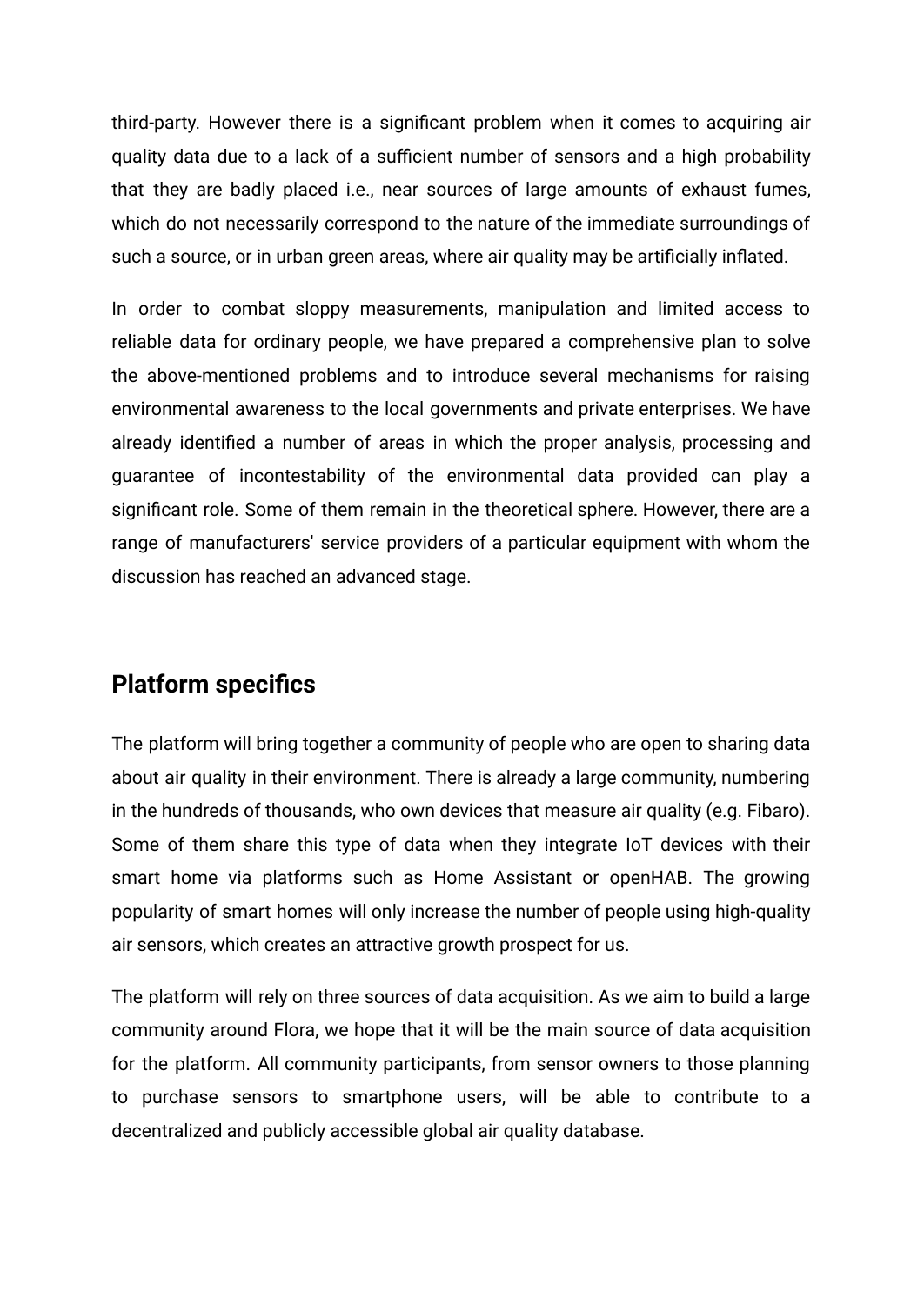third-party. However there is a significant problem when it comes to acquiring air quality data due to a lack of a sufficient number of sensors and a high probability that they are badly placed i.e., near sources of large amounts of exhaust fumes, which do not necessarily correspond to the nature of the immediate surroundings of such a source, or in urban green areas, where air quality may be artificially inflated.

In order to combat sloppy measurements, manipulation and limited access to reliable data for ordinary people, we have prepared a comprehensive plan to solve the above-mentioned problems and to introduce several mechanisms for raising environmental awareness to the local governments and private enterprises. We have already identified a number of areas in which the proper analysis, processing and guarantee of incontestability of the environmental data provided can play a significant role. Some of them remain in the theoretical sphere. However, there are a range of manufacturers' service providers of a particular equipment with whom the discussion has reached an advanced stage.

#### <span id="page-11-0"></span>**Platform specifics**

The platform will bring together a community of people who are open to sharing data about air quality in their environment. There is already a large community, numbering in the hundreds of thousands, who own devices that measure air quality (e.g. Fibaro). Some of them share this type of data when they integrate IoT devices with their smart home via platforms such as Home Assistant or openHAB. The growing popularity of smart homes will only increase the number of people using high-quality air sensors, which creates an attractive growth prospect for us.

The platform will rely on three sources of data acquisition. As we aim to build a large community around Flora, we hope that it will be the main source of data acquisition for the platform. All community participants, from sensor owners to those planning to purchase sensors to smartphone users, will be able to contribute to a decentralized and publicly accessible global air quality database.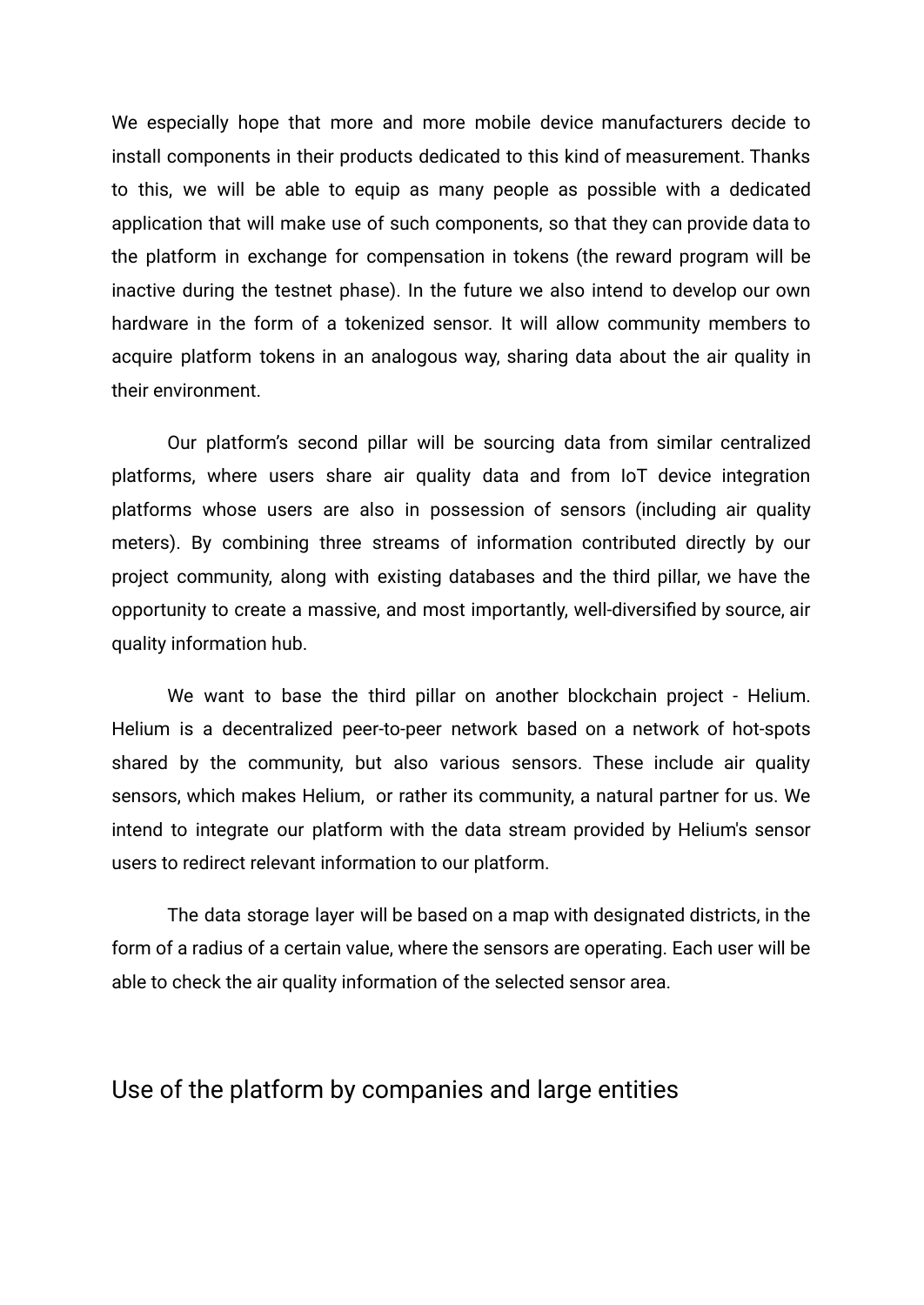We especially hope that more and more mobile device manufacturers decide to install components in their products dedicated to this kind of measurement. Thanks to this, we will be able to equip as many people as possible with a dedicated application that will make use of such components, so that they can provide data to the platform in exchange for compensation in tokens (the reward program will be inactive during the testnet phase). In the future we also intend to develop our own hardware in the form of a tokenized sensor. It will allow community members to acquire platform tokens in an analogous way, sharing data about the air quality in their environment.

Our platform's second pillar will be sourcing data from similar centralized platforms, where users share air quality data and from IoT device integration platforms whose users are also in possession of sensors (including air quality meters). By combining three streams of information contributed directly by our project community, along with existing databases and the third pillar, we have the opportunity to create a massive, and most importantly, well-diversified by source, air quality information hub.

We want to base the third pillar on another blockchain project - Helium. Helium is a decentralized peer-to-peer network based on a network of hot-spots shared by the community, but also various sensors. These include air quality sensors, which makes Helium, or rather its community, a natural partner for us. We intend to integrate our platform with the data stream provided by Helium's sensor users to redirect relevant information to our platform.

The data storage layer will be based on a map with designated districts, in the form of a radius of a certain value, where the sensors are operating. Each user will be able to check the air quality information of the selected sensor area.

#### <span id="page-12-0"></span>Use of the platform by companies and large entities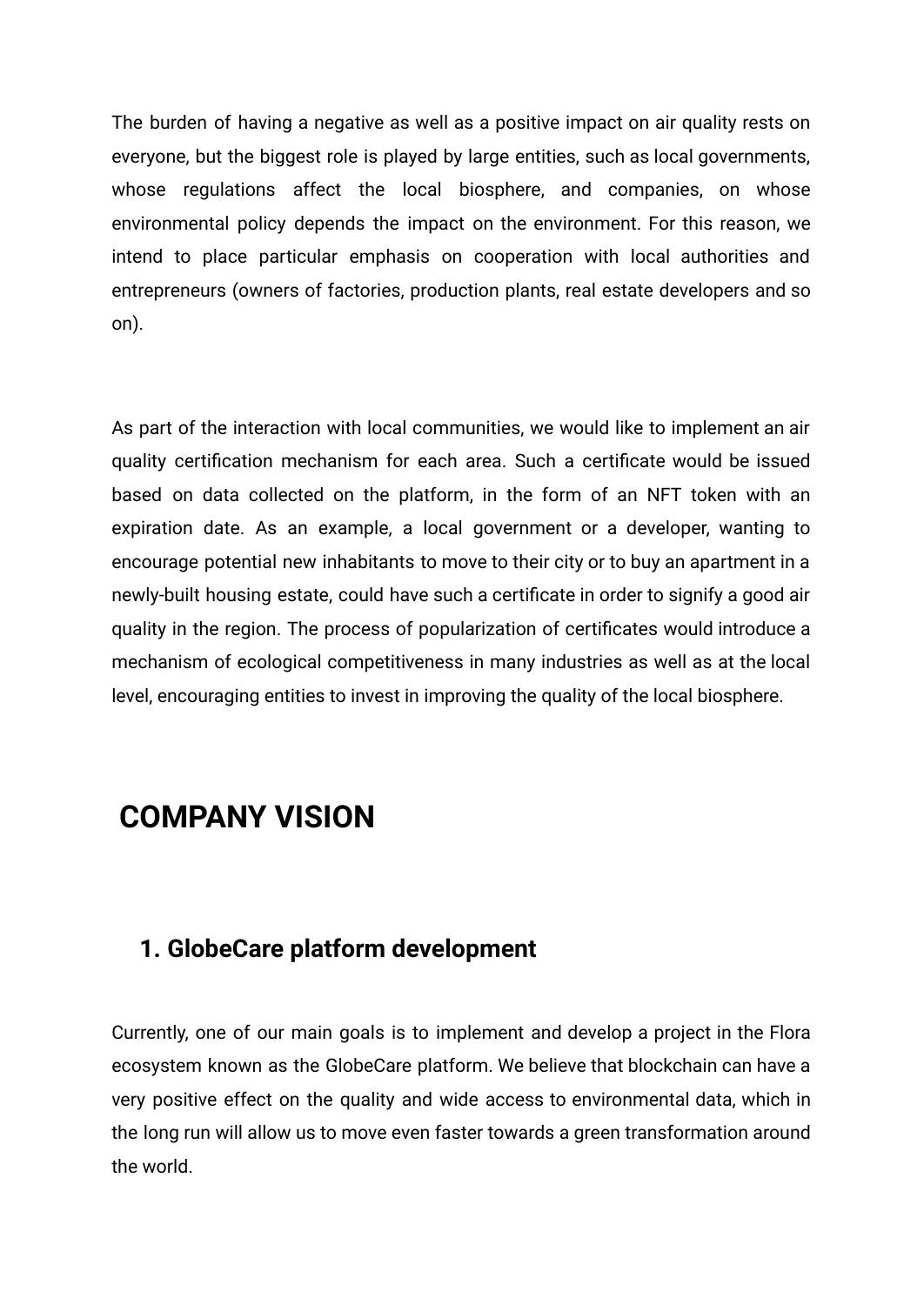The burden of having a negative as well as a positive impact on air quality rests on everyone, but the biggest role is played by large entities, such as local governments, whose regulations affect the local biosphere, and companies, on whose environmental policy depends the impact on the environment. For this reason, we intend to place particular emphasis on cooperation with local authorities and entrepreneurs (owners of factories, production plants, real estate developers and so on).

As part of the interaction with local communities, we would like to implement an air quality certification mechanism for each area. Such a certificate would be issued based on data collected on the platform, in the form of an NFT token with an expiration date. As an example, a local government or a developer, wanting to encourage potential new inhabitants to move to their city or to buy an apartment in a newly-built housing estate, could have such a certificate in order to signify a good air quality in the region. The process of popularization of certificates would introduce a mechanism of ecological competitiveness in many industries as well as at the local level, encouraging entities to invest in improving the quality of the local biosphere.

## <span id="page-13-0"></span>**COMPANY VISION**

#### <span id="page-13-1"></span>**1. GlobeCare platform development**

Currently, one of our main goals is to implement and develop a project in the Flora ecosystem known as the GlobeCare platform. We believe that blockchain can have a very positive effect on the quality and wide access to environmental data, which in the long run will allow us to move even faster towards a green transformation around the world.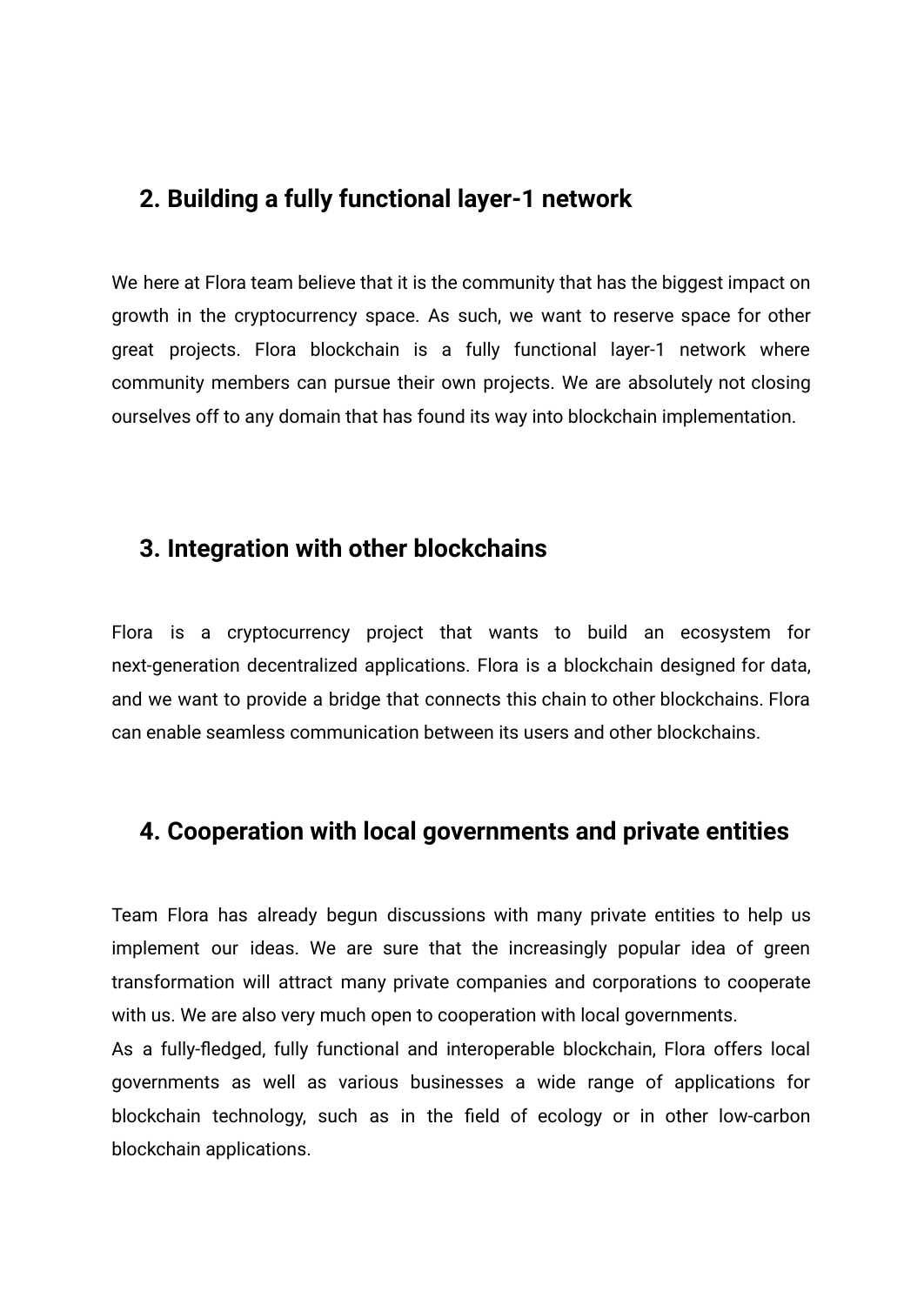#### <span id="page-14-0"></span>**2. Building a fully functional layer-1 network**

We here at Flora team believe that it is the community that has the biggest impact on growth in the cryptocurrency space. As such, we want to reserve space for other great projects. Flora blockchain is a fully functional layer-1 network where community members can pursue their own projects. We are absolutely not closing ourselves off to any domain that has found its way into blockchain implementation.

#### <span id="page-14-1"></span>**3. Integration with other blockchains**

Flora is a cryptocurrency project that wants to build an ecosystem for next-generation decentralized applications. Flora is a blockchain designed for data, and we want to provide a bridge that connects this chain to other blockchains. Flora can enable seamless communication between its users and other blockchains.

#### <span id="page-14-2"></span>**4. Cooperation with local governments and private entities**

Team Flora has already begun discussions with many private entities to help us implement our ideas. We are sure that the increasingly popular idea of green transformation will attract many private companies and corporations to cooperate with us. We are also very much open to cooperation with local governments.

As a fully-fledged, fully functional and interoperable blockchain, Flora offers local governments as well as various businesses a wide range of applications for blockchain technology, such as in the field of ecology or in other low-carbon blockchain applications.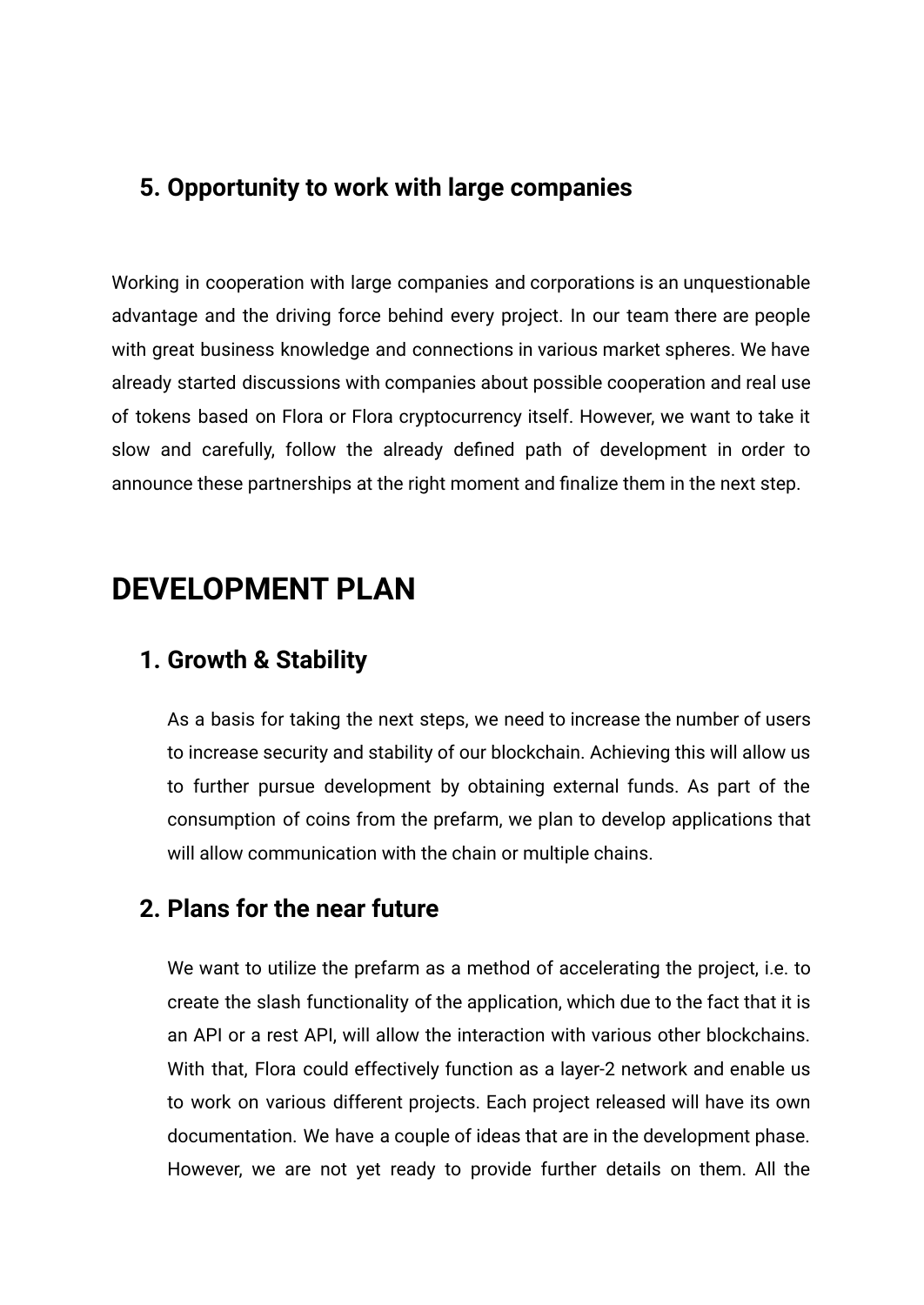### <span id="page-15-0"></span>**5. Opportunity to work with large companies**

Working in cooperation with large companies and corporations is an unquestionable advantage and the driving force behind every project. In our team there are people with great business knowledge and connections in various market spheres. We have already started discussions with companies about possible cooperation and real use of tokens based on Flora or Flora cryptocurrency itself. However, we want to take it slow and carefully, follow the already defined path of development in order to announce these partnerships at the right moment and finalize them in the next step.

## <span id="page-15-1"></span>**DEVELOPMENT PLAN**

#### <span id="page-15-2"></span>**1. Growth & Stability**

As a basis for taking the next steps, we need to increase the number of users to increase security and stability of our blockchain. Achieving this will allow us to further pursue development by obtaining external funds. As part of the consumption of coins from the prefarm, we plan to develop applications that will allow communication with the chain or multiple chains.

#### <span id="page-15-3"></span>**2. Plans for the near future**

We want to utilize the prefarm as a method of accelerating the project, i.e. to create the slash functionality of the application, which due to the fact that it is an API or a rest API, will allow the interaction with various other blockchains. With that, Flora could effectively function as a layer-2 network and enable us to work on various different projects. Each project released will have its own documentation. We have a couple of ideas that are in the development phase. However, we are not yet ready to provide further details on them. All the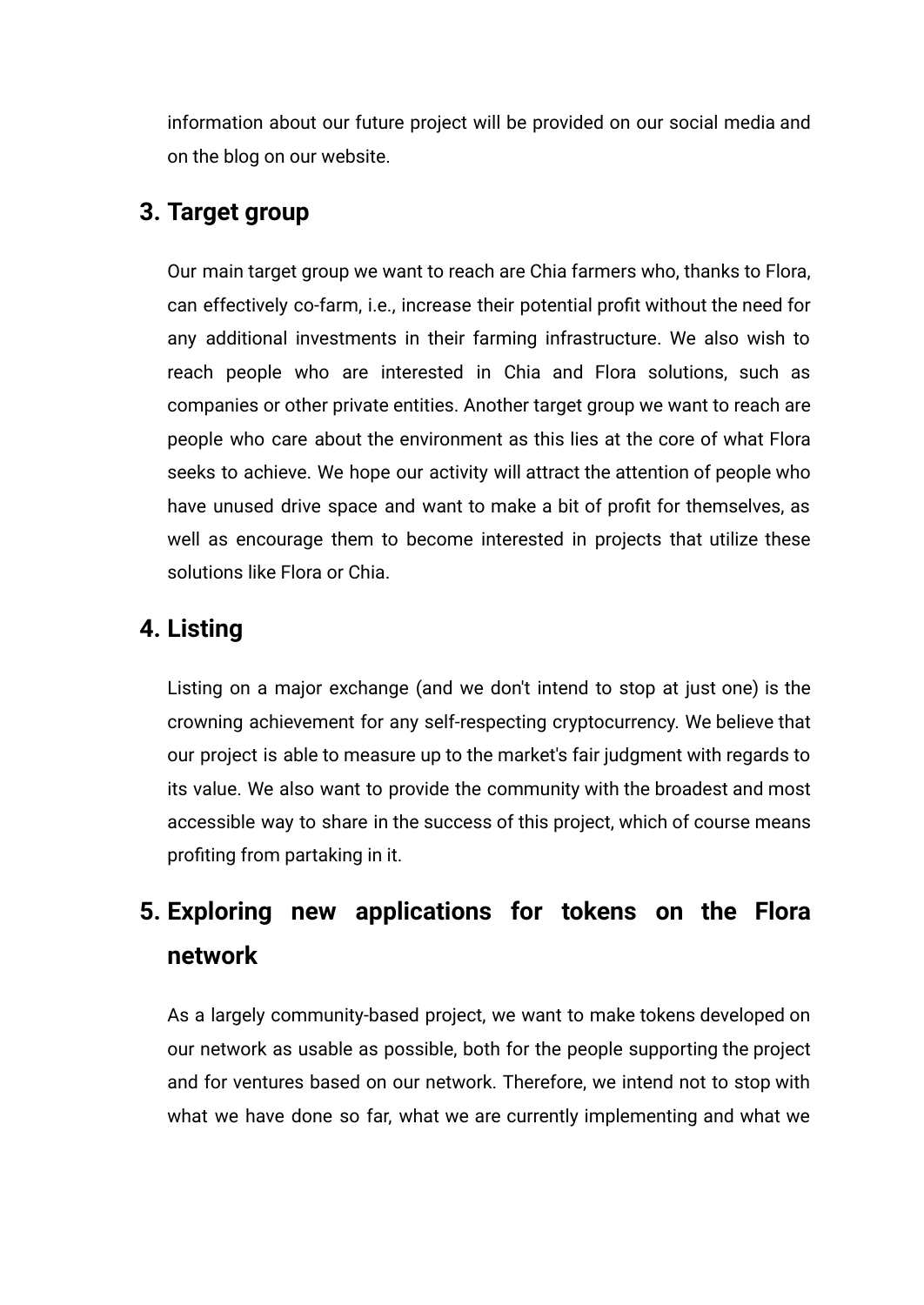information about our future project will be provided on our social media and on the blog on our website.

## <span id="page-16-0"></span>**3. Target group**

Our main target group we want to reach are Chia farmers who, thanks to Flora, can effectively co-farm, i.e., increase their potential profit without the need for any additional investments in their farming infrastructure. We also wish to reach people who are interested in Chia and Flora solutions, such as companies or other private entities. Another target group we want to reach are people who care about the environment as this lies at the core of what Flora seeks to achieve. We hope our activity will attract the attention of people who have unused drive space and want to make a bit of profit for themselves, as well as encourage them to become interested in projects that utilize these solutions like Flora or Chia.

## <span id="page-16-1"></span>**4. Listing**

Listing on a major exchange (and we don't intend to stop at just one) is the crowning achievement for any self-respecting cryptocurrency. We believe that our project is able to measure up to the market's fair judgment with regards to its value. We also want to provide the community with the broadest and most accessible way to share in the success of this project, which of course means profiting from partaking in it.

## <span id="page-16-2"></span>**5. Exploring new applications for tokens on the Flora network**

As a largely community-based project, we want to make tokens developed on our network as usable as possible, both for the people supporting the project and for ventures based on our network. Therefore, we intend not to stop with what we have done so far, what we are currently implementing and what we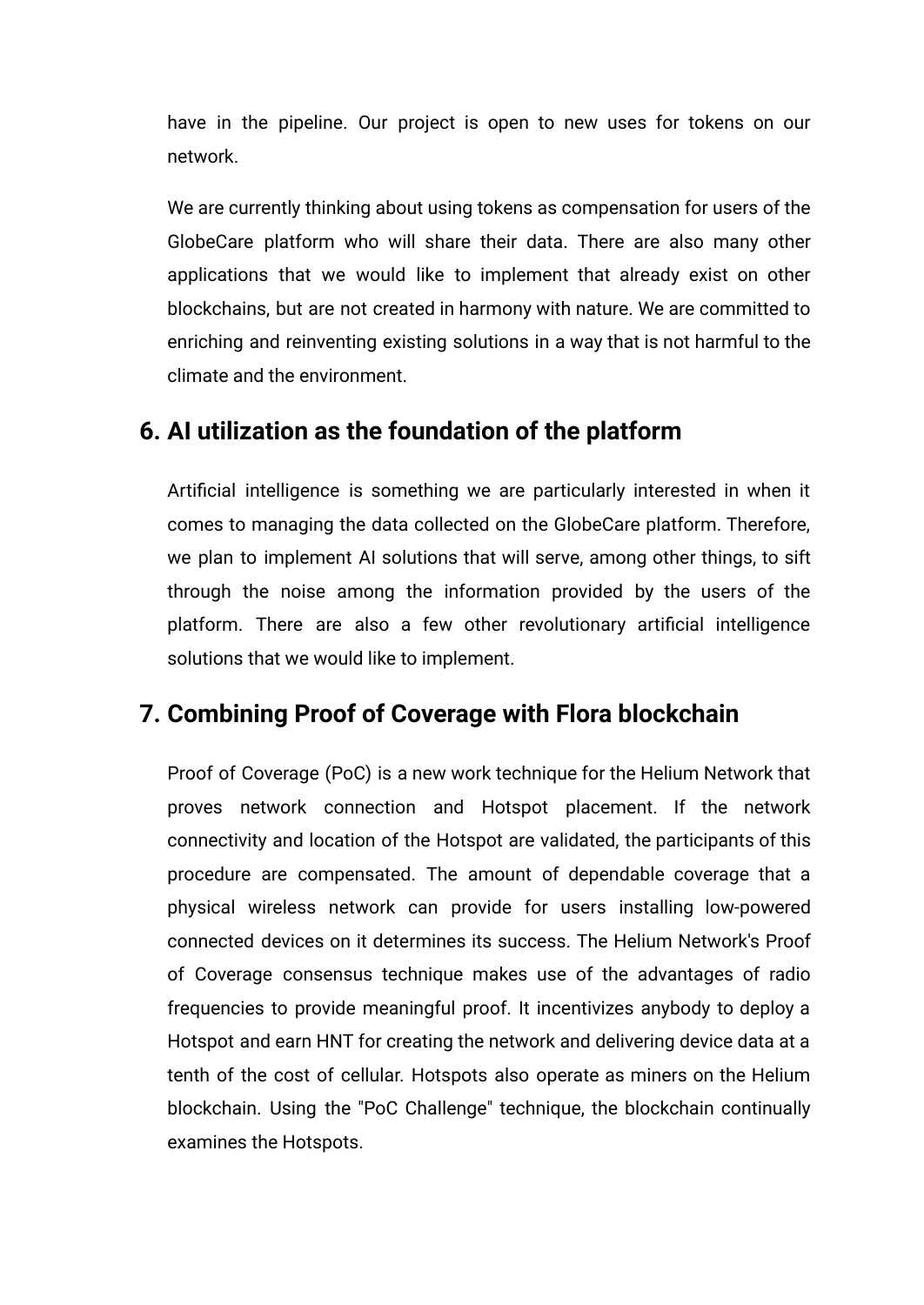have in the pipeline. Our project is open to new uses for tokens on our network.

We are currently thinking about using tokens as compensation for users of the GlobeCare platform who will share their data. There are also many other applications that we would like to implement that already exist on other blockchains, but are not created in harmony with nature. We are committed to enriching and reinventing existing solutions in a way that is not harmful to the climate and the environment.

### <span id="page-17-0"></span>**6. AI utilization as the foundation of the platform**

Artificial intelligence is something we are particularly interested in when it comes to managing the data collected on the GlobeCare platform. Therefore, we plan to implement AI solutions that will serve, among other things, to sift through the noise among the information provided by the users of the platform. There are also a few other revolutionary artificial intelligence solutions that we would like to implement.

### <span id="page-17-1"></span>**7. Combining Proof of Coverage with Flora blockchain**

Proof of Coverage (PoC) is a new work technique for the Helium Network that proves network connection and Hotspot placement. If the network connectivity and location of the Hotspot are validated, the participants of this procedure are compensated. The amount of dependable coverage that a physical wireless network can provide for users installing low-powered connected devices on it determines its success. The Helium Network's Proof of Coverage consensus technique makes use of the advantages of radio frequencies to provide meaningful proof. It incentivizes anybody to deploy a Hotspot and earn HNT for creating the network and delivering device data at a tenth of the cost of cellular. Hotspots also operate as miners on the Helium blockchain. Using the "PoC Challenge" technique, the blockchain continually examines the Hotspots.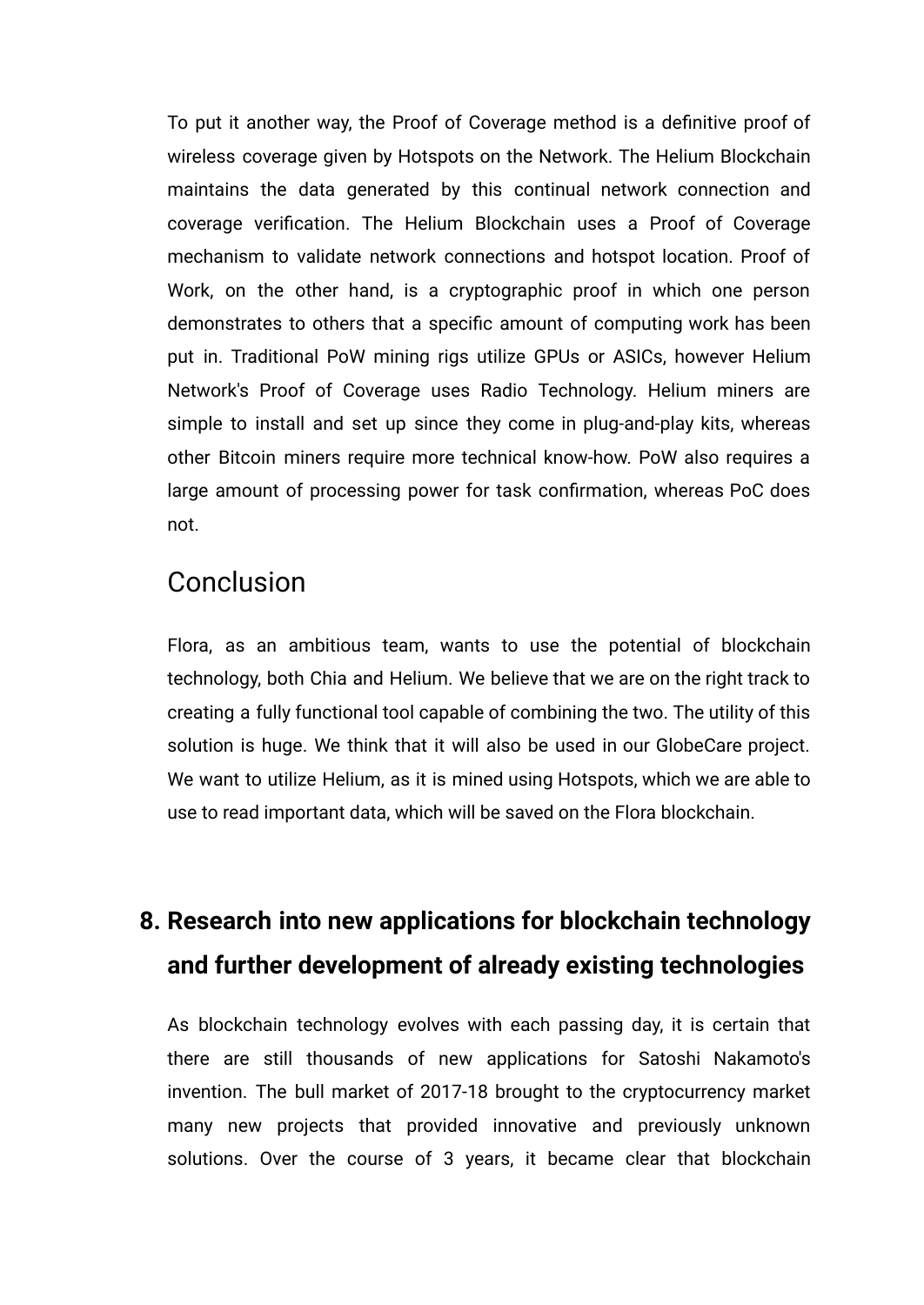To put it another way, the Proof of Coverage method is a definitive proof of wireless coverage given by Hotspots on the Network. The Helium Blockchain maintains the data generated by this continual network connection and coverage verification. The Helium Blockchain uses a Proof of Coverage mechanism to validate network connections and hotspot location. Proof of Work, on the other hand, is a cryptographic proof in which one person demonstrates to others that a specific amount of computing work has been put in. Traditional PoW mining rigs utilize GPUs or ASICs, however Helium Network's Proof of Coverage uses Radio Technology. Helium miners are simple to install and set up since they come in plug-and-play kits, whereas other Bitcoin miners require more technical know-how. PoW also requires a large amount of processing power for task confirmation, whereas PoC does not.

### <span id="page-18-0"></span>Conclusion

Flora, as an ambitious team, wants to use the potential of blockchain technology, both Chia and Helium. We believe that we are on the right track to creating a fully functional tool capable of combining the two. The utility of this solution is huge. We think that it will also be used in our GlobeCare project. We want to utilize Helium, as it is mined using Hotspots, which we are able to use to read important data, which will be saved on the Flora blockchain.

## <span id="page-18-1"></span>**8. Research into new applications for blockchain technology and further development of already existing technologies**

As blockchain technology evolves with each passing day, it is certain that there are still thousands of new applications for Satoshi Nakamoto's invention. The bull market of 2017-18 brought to the cryptocurrency market many new projects that provided innovative and previously unknown solutions. Over the course of 3 years, it became clear that blockchain